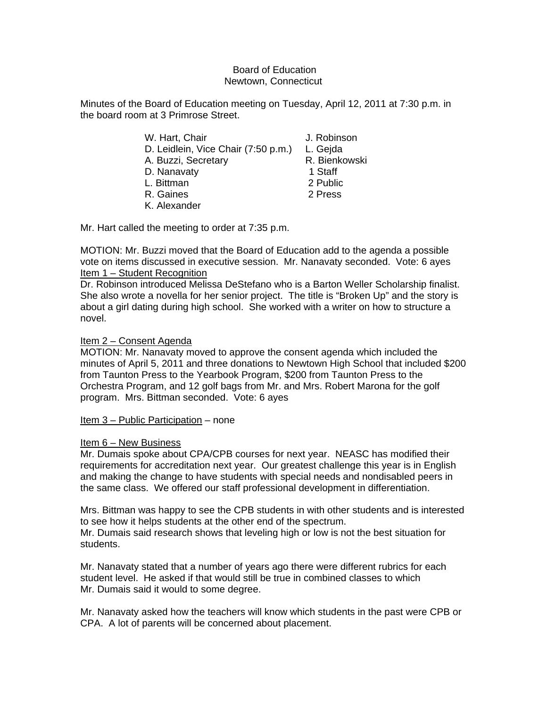## Board of Education Newtown, Connecticut

Minutes of the Board of Education meeting on Tuesday, April 12, 2011 at 7:30 p.m. in the board room at 3 Primrose Street.

| W. Hart, Chair                      | J. Robinson   |
|-------------------------------------|---------------|
| D. Leidlein, Vice Chair (7:50 p.m.) | L. Gejda      |
| A. Buzzi, Secretary                 | R. Bienkowski |
| D. Nanavaty                         | 1 Staff       |
| L. Bittman                          | 2 Public      |
| R. Gaines                           | 2 Press       |
| K. Alexander                        |               |

Mr. Hart called the meeting to order at 7:35 p.m.

MOTION: Mr. Buzzi moved that the Board of Education add to the agenda a possible vote on items discussed in executive session. Mr. Nanavaty seconded. Vote: 6 ayes Item 1 – Student Recognition

Dr. Robinson introduced Melissa DeStefano who is a Barton Weller Scholarship finalist. She also wrote a novella for her senior project. The title is "Broken Up" and the story is about a girl dating during high school. She worked with a writer on how to structure a novel.

# Item 2 – Consent Agenda

MOTION: Mr. Nanavaty moved to approve the consent agenda which included the minutes of April 5, 2011 and three donations to Newtown High School that included \$200 from Taunton Press to the Yearbook Program, \$200 from Taunton Press to the Orchestra Program, and 12 golf bags from Mr. and Mrs. Robert Marona for the golf program. Mrs. Bittman seconded. Vote: 6 ayes

Item 3 – Public Participation – none

# Item 6 – New Business

Mr. Dumais spoke about CPA/CPB courses for next year. NEASC has modified their requirements for accreditation next year. Our greatest challenge this year is in English and making the change to have students with special needs and nondisabled peers in the same class. We offered our staff professional development in differentiation.

Mrs. Bittman was happy to see the CPB students in with other students and is interested to see how it helps students at the other end of the spectrum. Mr. Dumais said research shows that leveling high or low is not the best situation for students.

Mr. Nanavaty stated that a number of years ago there were different rubrics for each student level. He asked if that would still be true in combined classes to which Mr. Dumais said it would to some degree.

Mr. Nanavaty asked how the teachers will know which students in the past were CPB or CPA. A lot of parents will be concerned about placement.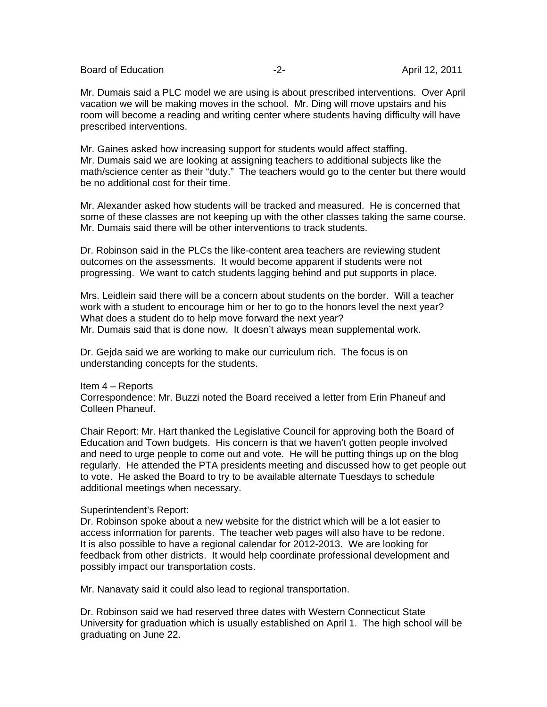Board of Education **-2-** April 12, 2011

Mr. Dumais said a PLC model we are using is about prescribed interventions. Over April vacation we will be making moves in the school. Mr. Ding will move upstairs and his room will become a reading and writing center where students having difficulty will have prescribed interventions.

Mr. Gaines asked how increasing support for students would affect staffing. Mr. Dumais said we are looking at assigning teachers to additional subjects like the math/science center as their "duty." The teachers would go to the center but there would be no additional cost for their time.

Mr. Alexander asked how students will be tracked and measured. He is concerned that some of these classes are not keeping up with the other classes taking the same course. Mr. Dumais said there will be other interventions to track students.

Dr. Robinson said in the PLCs the like-content area teachers are reviewing student outcomes on the assessments. It would become apparent if students were not progressing. We want to catch students lagging behind and put supports in place.

Mrs. Leidlein said there will be a concern about students on the border. Will a teacher work with a student to encourage him or her to go to the honors level the next year? What does a student do to help move forward the next year? Mr. Dumais said that is done now. It doesn't always mean supplemental work.

Dr. Gejda said we are working to make our curriculum rich. The focus is on understanding concepts for the students.

## Item 4 – Reports

Correspondence: Mr. Buzzi noted the Board received a letter from Erin Phaneuf and Colleen Phaneuf.

Chair Report: Mr. Hart thanked the Legislative Council for approving both the Board of Education and Town budgets. His concern is that we haven't gotten people involved and need to urge people to come out and vote. He will be putting things up on the blog regularly. He attended the PTA presidents meeting and discussed how to get people out to vote. He asked the Board to try to be available alternate Tuesdays to schedule additional meetings when necessary.

## Superintendent's Report:

Dr. Robinson spoke about a new website for the district which will be a lot easier to access information for parents. The teacher web pages will also have to be redone. It is also possible to have a regional calendar for 2012-2013. We are looking for feedback from other districts. It would help coordinate professional development and possibly impact our transportation costs.

Mr. Nanavaty said it could also lead to regional transportation.

Dr. Robinson said we had reserved three dates with Western Connecticut State University for graduation which is usually established on April 1. The high school will be graduating on June 22.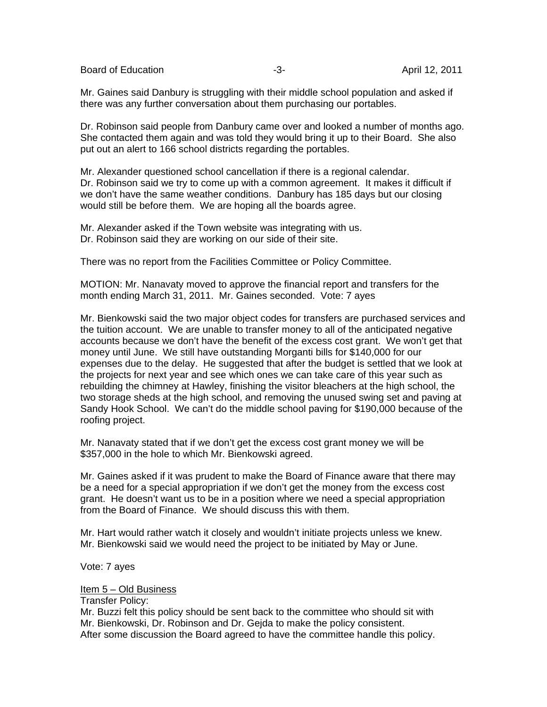Board of Education **-3-** April 12, 2011

Mr. Gaines said Danbury is struggling with their middle school population and asked if there was any further conversation about them purchasing our portables.

Dr. Robinson said people from Danbury came over and looked a number of months ago. She contacted them again and was told they would bring it up to their Board. She also put out an alert to 166 school districts regarding the portables.

Mr. Alexander questioned school cancellation if there is a regional calendar. Dr. Robinson said we try to come up with a common agreement. It makes it difficult if we don't have the same weather conditions. Danbury has 185 days but our closing would still be before them. We are hoping all the boards agree.

Mr. Alexander asked if the Town website was integrating with us. Dr. Robinson said they are working on our side of their site.

There was no report from the Facilities Committee or Policy Committee.

MOTION: Mr. Nanavaty moved to approve the financial report and transfers for the month ending March 31, 2011. Mr. Gaines seconded. Vote: 7 ayes

Mr. Bienkowski said the two major object codes for transfers are purchased services and the tuition account. We are unable to transfer money to all of the anticipated negative accounts because we don't have the benefit of the excess cost grant. We won't get that money until June. We still have outstanding Morganti bills for \$140,000 for our expenses due to the delay. He suggested that after the budget is settled that we look at the projects for next year and see which ones we can take care of this year such as rebuilding the chimney at Hawley, finishing the visitor bleachers at the high school, the two storage sheds at the high school, and removing the unused swing set and paving at Sandy Hook School. We can't do the middle school paving for \$190,000 because of the roofing project.

Mr. Nanavaty stated that if we don't get the excess cost grant money we will be \$357,000 in the hole to which Mr. Bienkowski agreed.

Mr. Gaines asked if it was prudent to make the Board of Finance aware that there may be a need for a special appropriation if we don't get the money from the excess cost grant. He doesn't want us to be in a position where we need a special appropriation from the Board of Finance. We should discuss this with them.

Mr. Hart would rather watch it closely and wouldn't initiate projects unless we knew. Mr. Bienkowski said we would need the project to be initiated by May or June.

Vote: 7 ayes

Item 5 – Old Business

Transfer Policy: Mr. Buzzi felt this policy should be sent back to the committee who should sit with Mr. Bienkowski, Dr. Robinson and Dr. Gejda to make the policy consistent. After some discussion the Board agreed to have the committee handle this policy.